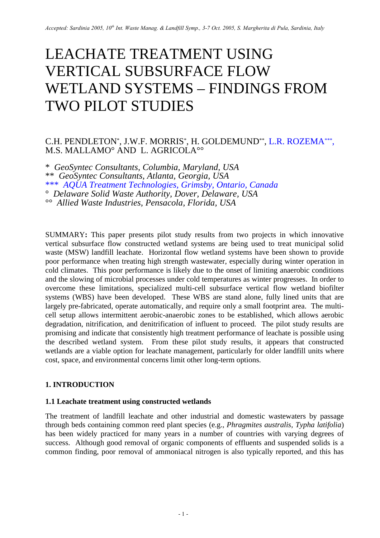# LEACHATE TREATMENT USING VERTICAL SUBSURFACE FLOW WETLAND SYSTEMS – FINDINGS FROM TWO PILOT STUDIES

# C.H. PENDLETON\*, J.W.F. MORRIS\*, H. GOLDEMUND\*\*, L.R. ROZEMA\*\*\*, M.S. MALLAMO° AND L. AGRICOLA°°

\* *GeoSyntec Consultants, Columbia, Maryland, USA* \*\* *GeoSyntec Consultants, Atlanta, Georgia, USA* \*\*\* *AQUA Treatment Technologies, Grimsby, Ontario, Canada* ° *Delaware Solid Waste Authority, Dover, Delaware, USA* °° *Allied Waste Industries, Pensacola, Florida, USA*

SUMMARY**:** This paper presents pilot study results from two projects in which innovative vertical subsurface flow constructed wetland systems are being used to treat municipal solid waste (MSW) landfill leachate. Horizontal flow wetland systems have been shown to provide poor performance when treating high strength wastewater, especially during winter operation in cold climates. This poor performance is likely due to the onset of limiting anaerobic conditions and the slowing of microbial processes under cold temperatures as winter progresses. In order to overcome these limitations, specialized multi-cell subsurface vertical flow wetland biofilter systems (WBS) have been developed. These WBS are stand alone, fully lined units that are largely pre-fabricated, operate automatically, and require only a small footprint area. The multicell setup allows intermittent aerobic-anaerobic zones to be established, which allows aerobic degradation, nitrification, and denitrification of influent to proceed. The pilot study results are promising and indicate that consistently high treatment performance of leachate is possible using the described wetland system. From these pilot study results, it appears that constructed wetlands are a viable option for leachate management, particularly for older landfill units where cost, space, and environmental concerns limit other long-term options.

## **1. INTRODUCTION**

## **1.1 Leachate treatment using constructed wetlands**

The treatment of landfill leachate and other industrial and domestic wastewaters by passage through beds containing common reed plant species (e.g., *Phragmites australis, Typha latifolia*) has been widely practiced for many years in a number of countries with varying degrees of success. Although good removal of organic components of effluents and suspended solids is a common finding, poor removal of ammoniacal nitrogen is also typically reported, and this has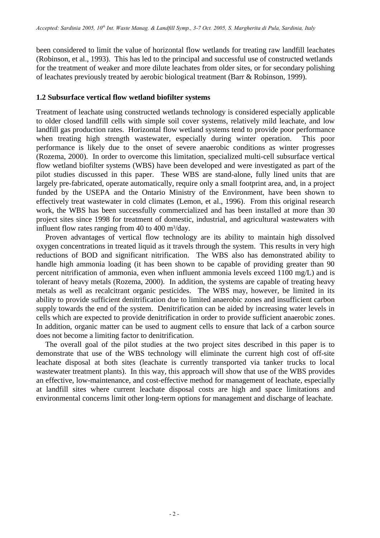been considered to limit the value of horizontal flow wetlands for treating raw landfill leachates (Robinson, et al., 1993). This has led to the principal and successful use of constructed wetlands for the treatment of weaker and more dilute leachates from older sites, or for secondary polishing of leachates previously treated by aerobic biological treatment (Barr & Robinson, 1999).

#### **1.2 Subsurface vertical flow wetland biofilter systems**

Treatment of leachate using constructed wetlands technology is considered especially applicable to older closed landfill cells with simple soil cover systems, relatively mild leachate, and low landfill gas production rates. Horizontal flow wetland systems tend to provide poor performance when treating high strength wastewater, especially during winter operation. This poor performance is likely due to the onset of severe anaerobic conditions as winter progresses (Rozema, 2000). In order to overcome this limitation, specialized multi-cell subsurface vertical flow wetland biofilter systems (WBS) have been developed and were investigated as part of the pilot studies discussed in this paper. These WBS are stand-alone, fully lined units that are largely pre-fabricated, operate automatically, require only a small footprint area, and, in a project funded by the USEPA and the Ontario Ministry of the Environment, have been shown to effectively treat wastewater in cold climates (Lemon, et al., 1996). From this original research work, the WBS has been successfully commercialized and has been installed at more than 30 project sites since 1998 for treatment of domestic, industrial, and agricultural wastewaters with influent flow rates ranging from  $40$  to  $400 \text{ m}^3/\text{day}$ .

Proven advantages of vertical flow technology are its ability to maintain high dissolved oxygen concentrations in treated liquid as it travels through the system. This results in very high reductions of BOD and significant nitrification. The WBS also has demonstrated ability to handle high ammonia loading (it has been shown to be capable of providing greater than 90 percent nitrification of ammonia, even when influent ammonia levels exceed 1100 mg/L) and is tolerant of heavy metals (Rozema, 2000). In addition, the systems are capable of treating heavy metals as well as recalcitrant organic pesticides. The WBS may, however, be limited in its ability to provide sufficient denitrification due to limited anaerobic zones and insufficient carbon supply towards the end of the system. Denitrification can be aided by increasing water levels in cells which are expected to provide denitrification in order to provide sufficient anaerobic zones. In addition, organic matter can be used to augment cells to ensure that lack of a carbon source does not become a limiting factor to denitrification.

The overall goal of the pilot studies at the two project sites described in this paper is to demonstrate that use of the WBS technology will eliminate the current high cost of off-site leachate disposal at both sites (leachate is currently transported via tanker trucks to local wastewater treatment plants). In this way, this approach will show that use of the WBS provides an effective, low-maintenance, and cost-effective method for management of leachate, especially at landfill sites where current leachate disposal costs are high and space limitations and environmental concerns limit other long-term options for management and discharge of leachate.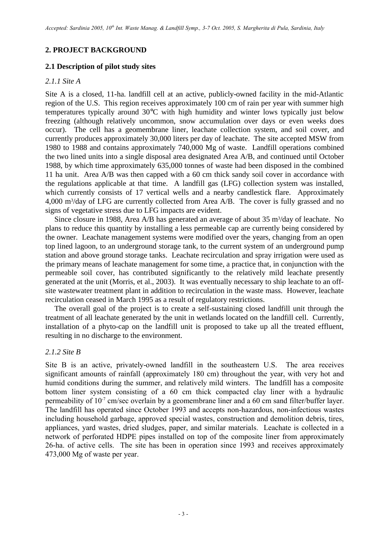## **2. PROJECT BACKGROUND**

#### **2.1 Description of pilot study sites**

#### *2.1.1 Site A*

Site A is a closed, 11-ha. landfill cell at an active, publicly-owned facility in the mid-Atlantic region of the U.S. This region receives approximately 100 cm of rain per year with summer high temperatures typically around 30°C with high humidity and winter lows typically just below freezing (although relatively uncommon, snow accumulation over days or even weeks does occur). The cell has a geomembrane liner, leachate collection system, and soil cover, and currently produces approximately 30,000 liters per day of leachate. The site accepted MSW from 1980 to 1988 and contains approximately 740,000 Mg of waste. Landfill operations combined the two lined units into a single disposal area designated Area A/B, and continued until October 1988, by which time approximately 635,000 tonnes of waste had been disposed in the combined 11 ha unit. Area A/B was then capped with a 60 cm thick sandy soil cover in accordance with the regulations applicable at that time. A landfill gas (LFG) collection system was installed, which currently consists of 17 vertical wells and a nearby candlestick flare. Approximately 4,000 m<sup>3</sup>/day of LFG are currently collected from Area A/B. The cover is fully grassed and no signs of vegetative stress due to LFG impacts are evident.

Since closure in 1988, Area A/B has generated an average of about 35 m<sup>3</sup>/day of leachate. No plans to reduce this quantity by installing a less permeable cap are currently being considered by the owner. Leachate management systems were modified over the years, changing from an open top lined lagoon, to an underground storage tank, to the current system of an underground pump station and above ground storage tanks. Leachate recirculation and spray irrigation were used as the primary means of leachate management for some time, a practice that, in conjunction with the permeable soil cover, has contributed significantly to the relatively mild leachate presently generated at the unit (Morris, et al., 2003). It was eventually necessary to ship leachate to an offsite wastewater treatment plant in addition to recirculation in the waste mass. However, leachate recirculation ceased in March 1995 as a result of regulatory restrictions.

The overall goal of the project is to create a self-sustaining closed landfill unit through the treatment of all leachate generated by the unit in wetlands located on the landfill cell. Currently, installation of a phyto-cap on the landfill unit is proposed to take up all the treated effluent, resulting in no discharge to the environment.

#### *2.1.2 Site B*

Site B is an active, privately-owned landfill in the southeastern U.S. The area receives significant amounts of rainfall (approximately 180 cm) throughout the year, with very hot and humid conditions during the summer, and relatively mild winters. The landfill has a composite bottom liner system consisting of a 60 cm thick compacted clay liner with a hydraulic permeability of  $10^{-7}$  cm/sec overlain by a geomembrane liner and a 60 cm sand filter/buffer layer. The landfill has operated since October 1993 and accepts non-hazardous, non-infectious wastes including household garbage, approved special wastes, construction and demolition debris, tires, appliances, yard wastes, dried sludges, paper, and similar materials. Leachate is collected in a network of perforated HDPE pipes installed on top of the composite liner from approximately 26-ha. of active cells. The site has been in operation since 1993 and receives approximately 473,000 Mg of waste per year.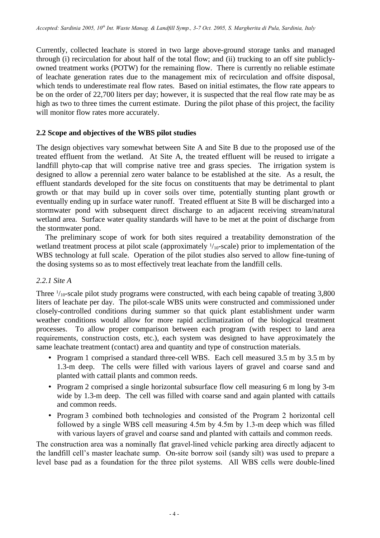Currently, collected leachate is stored in two large above-ground storage tanks and managed through (i) recirculation for about half of the total flow; and (ii) trucking to an off site publiclyowned treatment works (POTW) for the remaining flow. There is currently no reliable estimate of leachate generation rates due to the management mix of recirculation and offsite disposal, which tends to underestimate real flow rates. Based on initial estimates, the flow rate appears to be on the order of 22,700 liters per day; however, it is suspected that the real flow rate may be as high as two to three times the current estimate. During the pilot phase of this project, the facility will monitor flow rates more accurately.

## **2.2 Scope and objectives of the WBS pilot studies**

The design objectives vary somewhat between Site A and Site B due to the proposed use of the treated effluent from the wetland. At Site A, the treated effluent will be reused to irrigate a landfill phyto-cap that will comprise native tree and grass species. The irrigation system is designed to allow a perennial zero water balance to be established at the site. As a result, the effluent standards developed for the site focus on constituents that may be detrimental to plant growth or that may build up in cover soils over time, potentially stunting plant growth or eventually ending up in surface water runoff. Treated effluent at Site B will be discharged into a stormwater pond with subsequent direct discharge to an adjacent receiving stream/natural wetland area. Surface water quality standards will have to be met at the point of discharge from the stormwater pond.

The preliminary scope of work for both sites required a treatability demonstration of the wetland treatment process at pilot scale (approximately  $1/_{10}$ -scale) prior to implementation of the WBS technology at full scale. Operation of the pilot studies also served to allow fine-tuning of the dosing systems so as to most effectively treat leachate from the landfill cells.

#### *2.2.1 Site A*

Three  $\frac{1}{10}$ -scale pilot study programs were constructed, with each being capable of treating 3,800 liters of leachate per day. The pilot-scale WBS units were constructed and commissioned under closely-controlled conditions during summer so that quick plant establishment under warm weather conditions would allow for more rapid acclimatization of the biological treatment processes. To allow proper comparison between each program (with respect to land area requirements, construction costs, etc.), each system was designed to have approximately the same leachate treatment (contact) area and quantity and type of construction materials.

- Program 1 comprised a standard three-cell WBS. Each cell measured 3.5 m by 3.5 m by 1.3-m deep. The cells were filled with various layers of gravel and coarse sand and planted with cattail plants and common reeds.
- Program 2 comprised a single horizontal subsurface flow cell measuring 6 m long by 3-m wide by 1.3-m deep. The cell was filled with coarse sand and again planted with cattails and common reeds.
- Program 3 combined both technologies and consisted of the Program 2 horizontal cell followed by a single WBS cell measuring 4.5m by 4.5m by 1.3-m deep which was filled with various layers of gravel and coarse sand and planted with cattails and common reeds.

The construction area was a nominally flat gravel-lined vehicle parking area directly adjacent to the landfill cell's master leachate sump. On-site borrow soil (sandy silt) was used to prepare a level base pad as a foundation for the three pilot systems. All WBS cells were double-lined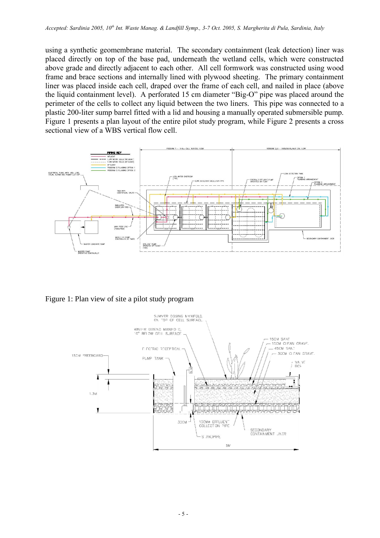using a synthetic geomembrane material. The secondary containment (leak detection) liner was placed directly on top of the base pad, underneath the wetland cells, which were constructed above grade and directly adjacent to each other. All cell formwork was constructed using wood frame and brace sections and internally lined with plywood sheeting. The primary containment liner was placed inside each cell, draped over the frame of each cell, and nailed in place (above the liquid containment level). A perforated 15 cm diameter "Big-O" pipe was placed around the perimeter of the cells to collect any liquid between the two liners. This pipe was connected to a plastic 200-liter sump barrel fitted with a lid and housing a manually operated submersible pump. Figure 1 presents a plan layout of the entire pilot study program, while Figure 2 presents a cross sectional view of a WBS vertical flow cell.



Figure 1: Plan view of site a pilot study program

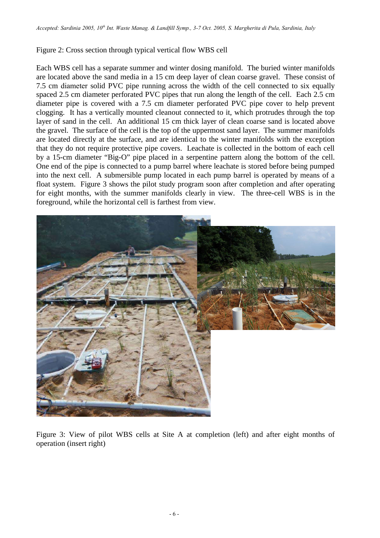## Figure 2: Cross section through typical vertical flow WBS cell

Each WBS cell has a separate summer and winter dosing manifold. The buried winter manifolds are located above the sand media in a 15 cm deep layer of clean coarse gravel. These consist of 7.5 cm diameter solid PVC pipe running across the width of the cell connected to six equally spaced 2.5 cm diameter perforated PVC pipes that run along the length of the cell. Each 2.5 cm diameter pipe is covered with a 7.5 cm diameter perforated PVC pipe cover to help prevent clogging. It has a vertically mounted cleanout connected to it, which protrudes through the top layer of sand in the cell. An additional 15 cm thick layer of clean coarse sand is located above the gravel. The surface of the cell is the top of the uppermost sand layer. The summer manifolds are located directly at the surface, and are identical to the winter manifolds with the exception that they do not require protective pipe covers. Leachate is collected in the bottom of each cell by a 15-cm diameter "Big-O" pipe placed in a serpentine pattern along the bottom of the cell. One end of the pipe is connected to a pump barrel where leachate is stored before being pumped into the next cell. A submersible pump located in each pump barrel is operated by means of a float system. Figure 3 shows the pilot study program soon after completion and after operating for eight months, with the summer manifolds clearly in view. The three-cell WBS is in the foreground, while the horizontal cell is farthest from view.



Figure 3: View of pilot WBS cells at Site A at completion (left) and after eight months of operation (insert right)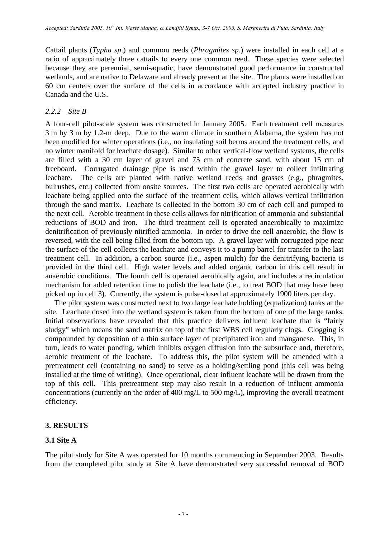Cattail plants (*Typha sp*.) and common reeds (*Phragmites sp*.) were installed in each cell at a ratio of approximately three cattails to every one common reed. These species were selected because they are perennial, semi-aquatic, have demonstrated good performance in constructed wetlands, and are native to Delaware and already present at the site. The plants were installed on 60 cm centers over the surface of the cells in accordance with accepted industry practice in Canada and the U.S.

## *2.2.2 Site B*

A four-cell pilot-scale system was constructed in January 2005. Each treatment cell measures 3 m by 3 m by 1.2-m deep. Due to the warm climate in southern Alabama, the system has not been modified for winter operations (i.e., no insulating soil berms around the treatment cells, and no winter manifold for leachate dosage). Similar to other vertical-flow wetland systems, the cells are filled with a 30 cm layer of gravel and 75 cm of concrete sand, with about 15 cm of freeboard. Corrugated drainage pipe is used within the gravel layer to collect infiltrating leachate. The cells are planted with native wetland reeds and grasses (e.g., phragmites, bulrushes, etc.) collected from onsite sources. The first two cells are operated aerobically with leachate being applied onto the surface of the treatment cells, which allows vertical infiltration through the sand matrix. Leachate is collected in the bottom 30 cm of each cell and pumped to the next cell. Aerobic treatment in these cells allows for nitrification of ammonia and substantial reductions of BOD and iron. The third treatment cell is operated anaerobically to maximize denitrification of previously nitrified ammonia. In order to drive the cell anaerobic, the flow is reversed, with the cell being filled from the bottom up. A gravel layer with corrugated pipe near the surface of the cell collects the leachate and conveys it to a pump barrel for transfer to the last treatment cell. In addition, a carbon source (i.e., aspen mulch) for the denitrifying bacteria is provided in the third cell. High water levels and added organic carbon in this cell result in anaerobic conditions. The fourth cell is operated aerobically again, and includes a recirculation mechanism for added retention time to polish the leachate (i.e., to treat BOD that may have been picked up in cell 3). Currently, the system is pulse-dosed at approximately 1900 liters per day.

The pilot system was constructed next to two large leachate holding (equalization) tanks at the site. Leachate dosed into the wetland system is taken from the bottom of one of the large tanks. Initial observations have revealed that this practice delivers influent leachate that is "fairly sludgy" which means the sand matrix on top of the first WBS cell regularly clogs. Clogging is compounded by deposition of a thin surface layer of precipitated iron and manganese. This, in turn, leads to water ponding, which inhibits oxygen diffusion into the subsurface and, therefore, aerobic treatment of the leachate. To address this, the pilot system will be amended with a pretreatment cell (containing no sand) to serve as a holding/settling pond (this cell was being installed at the time of writing). Once operational, clear influent leachate will be drawn from the top of this cell. This pretreatment step may also result in a reduction of influent ammonia concentrations (currently on the order of 400 mg/L to 500 mg/L), improving the overall treatment efficiency.

#### **3. RESULTS**

#### **3.1 Site A**

The pilot study for Site A was operated for 10 months commencing in September 2003. Results from the completed pilot study at Site A have demonstrated very successful removal of BOD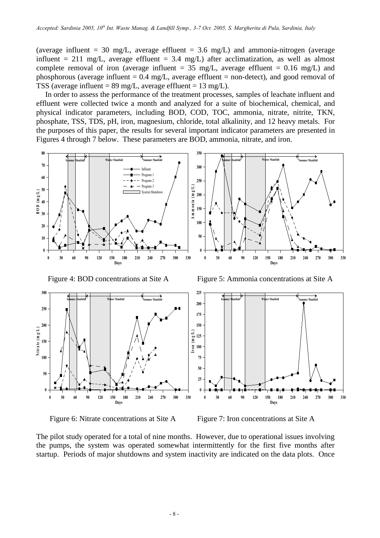(average influent = 30 mg/L, average effluent = 3.6 mg/L) and ammonia-nitrogen (average influent = 211 mg/L, average effluent = 3.4 mg/L) after acclimatization, as well as almost complete removal of iron (average influent =  $35 \text{ mg/L}$ , average effluent = 0.16 mg/L) and phosphorous (average influent =  $0.4 \text{ mg/L}$ , average effluent = non-detect), and good removal of TSS (average influent =  $89 \text{ mg/L}$ , average effluent =  $13 \text{ mg/L}$ ).

In order to assess the performance of the treatment processes, samples of leachate influent and effluent were collected twice a month and analyzed for a suite of biochemical, chemical, and physical indicator parameters, including BOD, COD, TOC, ammonia, nitrate, nitrite, TKN, phosphate, TSS, TDS, pH, iron, magnesium, chloride, total alkalinity, and 12 heavy metals. For the purposes of this paper, the results for several important indicator parameters are presented in Figures 4 through 7 below. These parameters are BOD, ammonia, nitrate, and iron.



Figure 4: BOD concentrations at Site A Figure 5: Ammonia concentrations at Site A





The pilot study operated for a total of nine months. However, due to operational issues involving the pumps, the system was operated somewhat intermittently for the first five months after startup. Periods of major shutdowns and system inactivity are indicated on the data plots. Once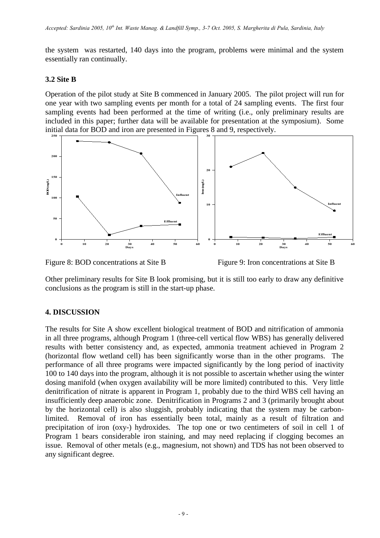the system was restarted, 140 days into the program, problems were minimal and the system essentially ran continually.

## **3.2 Site B**

Operation of the pilot study at Site B commenced in January 2005. The pilot project will run for one year with two sampling events per month for a total of 24 sampling events. The first four sampling events had been performed at the time of writing (i.e., only preliminary results are included in this paper; further data will be available for presentation at the symposium). Some initial data for BOD and iron are presented in Figures 8 and 9, respectively.



Figure 8: BOD concentrations at Site B Figure 9: Iron concentrations at Site B

Other preliminary results for Site B look promising, but it is still too early to draw any definitive conclusions as the program is still in the start-up phase.

## **4. DISCUSSION**

The results for Site A show excellent biological treatment of BOD and nitrification of ammonia in all three programs, although Program 1 (three-cell vertical flow WBS) has generally delivered results with better consistency and, as expected, ammonia treatment achieved in Program 2 (horizontal flow wetland cell) has been significantly worse than in the other programs. The performance of all three programs were impacted significantly by the long period of inactivity 100 to 140 days into the program, although it is not possible to ascertain whether using the winter dosing manifold (when oxygen availability will be more limited) contributed to this. Very little denitrification of nitrate is apparent in Program 1, probably due to the third WBS cell having an insufficiently deep anaerobic zone. Denitrification in Programs 2 and 3 (primarily brought about by the horizontal cell) is also sluggish, probably indicating that the system may be carbonlimited. Removal of iron has essentially been total, mainly as a result of filtration and precipitation of iron (oxy-) hydroxides. The top one or two centimeters of soil in cell 1 of Program 1 bears considerable iron staining, and may need replacing if clogging becomes an issue. Removal of other metals (e.g., magnesium, not shown) and TDS has not been observed to any significant degree.